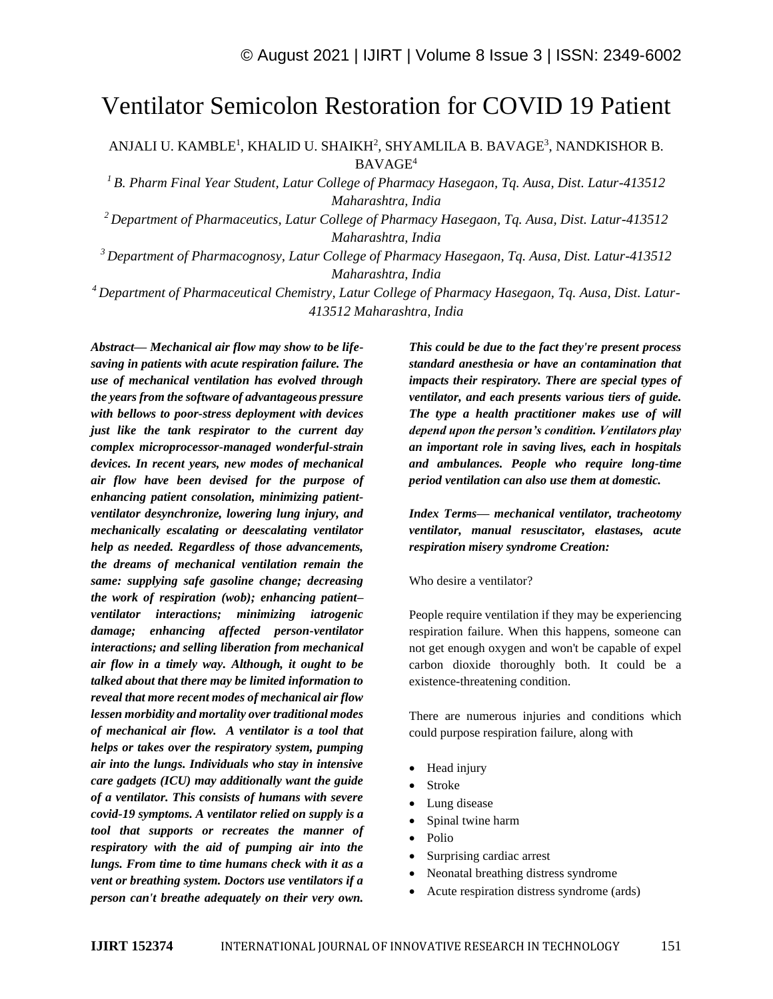# Ventilator Semicolon Restoration for COVID 19 Patient

ANJALI U. KAMBLE<sup>1</sup>, KHALID U. SHAIKH<sup>2</sup>, SHYAMLILA B. BAVAGE<sup>3</sup>, NANDKISHOR B. BAVAGE<sup>4</sup>

*<sup>1</sup>B. Pharm Final Year Student, Latur College of Pharmacy Hasegaon, Tq. Ausa, Dist. Latur-413512 Maharashtra, India*

*<sup>2</sup>Department of Pharmaceutics, Latur College of Pharmacy Hasegaon, Tq. Ausa, Dist. Latur-413512 Maharashtra, India*

*<sup>3</sup>Department of Pharmacognosy, Latur College of Pharmacy Hasegaon, Tq. Ausa, Dist. Latur-413512 Maharashtra, India*

*<sup>4</sup>Department of Pharmaceutical Chemistry, Latur College of Pharmacy Hasegaon, Tq. Ausa, Dist. Latur-413512 Maharashtra, India*

*Abstract— Mechanical air flow may show to be lifesaving in patients with acute respiration failure. The use of mechanical ventilation has evolved through the years from the software of advantageous pressure with bellows to poor-stress deployment with devices just like the tank respirator to the current day complex microprocessor-managed wonderful-strain devices. In recent years, new modes of mechanical air flow have been devised for the purpose of enhancing patient consolation, minimizing patientventilator desynchronize, lowering lung injury, and mechanically escalating or deescalating ventilator help as needed. Regardless of those advancements, the dreams of mechanical ventilation remain the same: supplying safe gasoline change; decreasing the work of respiration (wob); enhancing patient– ventilator interactions; minimizing iatrogenic damage; enhancing affected person-ventilator interactions; and selling liberation from mechanical air flow in a timely way. Although, it ought to be talked about that there may be limited information to reveal that more recent modes of mechanical air flow lessen morbidity and mortality over traditional modes of mechanical air flow. A ventilator is a tool that helps or takes over the respiratory system, pumping air into the lungs. Individuals who stay in intensive care gadgets (ICU) may additionally want the guide of a ventilator. This consists of humans with severe covid-19 symptoms. A ventilator relied on supply is a tool that supports or recreates the manner of respiratory with the aid of pumping air into the lungs. From time to time humans check with it as a vent or breathing system. Doctors use ventilators if a person can't breathe adequately on their very own.* 

*This could be due to the fact they're present process standard anesthesia or have an contamination that impacts their respiratory. There are special types of ventilator, and each presents various tiers of guide. The type a health practitioner makes use of will depend upon the person's condition. Ventilators play an important role in saving lives, each in hospitals and ambulances. People who require long-time period ventilation can also use them at domestic.*

*Index Terms— mechanical ventilator, tracheotomy ventilator, manual resuscitator, elastases, acute respiration misery syndrome Creation:*

Who desire a ventilator?

People require ventilation if they may be experiencing respiration failure. When this happens, someone can not get enough oxygen and won't be capable of expel carbon dioxide thoroughly both. It could be a existence-threatening condition.

There are numerous injuries and conditions which could purpose respiration failure, along with

- Head injury
- Stroke
- Lung disease
- Spinal twine harm
- Polio
- Surprising cardiac arrest
- Neonatal breathing distress syndrome
- Acute respiration distress syndrome (ards)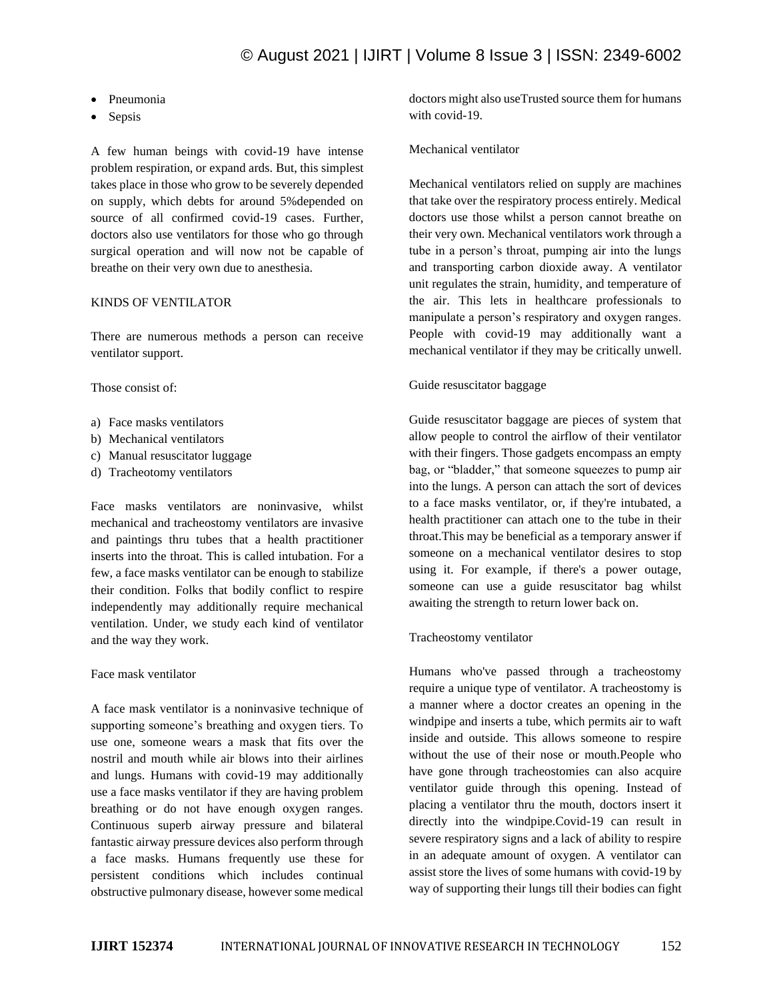- Pneumonia
- Sepsis

A few human beings with covid-19 have intense problem respiration, or expand ards. But, this simplest takes place in those who grow to be severely depended on supply, which debts for around 5%depended on source of all confirmed covid-19 cases. Further, doctors also use ventilators for those who go through surgical operation and will now not be capable of breathe on their very own due to anesthesia.

### KINDS OF VENTILATOR

There are numerous methods a person can receive ventilator support.

Those consist of:

- a) Face masks ventilators
- b) Mechanical ventilators
- c) Manual resuscitator luggage
- d) Tracheotomy ventilators

Face masks ventilators are noninvasive, whilst mechanical and tracheostomy ventilators are invasive and paintings thru tubes that a health practitioner inserts into the throat. This is called intubation. For a few, a face masks ventilator can be enough to stabilize their condition. Folks that bodily conflict to respire independently may additionally require mechanical ventilation. Under, we study each kind of ventilator and the way they work.

#### Face mask ventilator

A face mask ventilator is a noninvasive technique of supporting someone's breathing and oxygen tiers. To use one, someone wears a mask that fits over the nostril and mouth while air blows into their airlines and lungs. Humans with covid-19 may additionally use a face masks ventilator if they are having problem breathing or do not have enough oxygen ranges. Continuous superb airway pressure and bilateral fantastic airway pressure devices also perform through a face masks. Humans frequently use these for persistent conditions which includes continual obstructive pulmonary disease, however some medical

doctors might also useTrusted source them for humans with covid-19.

#### Mechanical ventilator

Mechanical ventilators relied on supply are machines that take over the respiratory process entirely. Medical doctors use those whilst a person cannot breathe on their very own. Mechanical ventilators work through a tube in a person's throat, pumping air into the lungs and transporting carbon dioxide away. A ventilator unit regulates the strain, humidity, and temperature of the air. This lets in healthcare professionals to manipulate a person's respiratory and oxygen ranges. People with covid-19 may additionally want a mechanical ventilator if they may be critically unwell.

#### Guide resuscitator baggage

Guide resuscitator baggage are pieces of system that allow people to control the airflow of their ventilator with their fingers. Those gadgets encompass an empty bag, or "bladder," that someone squeezes to pump air into the lungs. A person can attach the sort of devices to a face masks ventilator, or, if they're intubated, a health practitioner can attach one to the tube in their throat.This may be beneficial as a temporary answer if someone on a mechanical ventilator desires to stop using it. For example, if there's a power outage, someone can use a guide resuscitator bag whilst awaiting the strength to return lower back on.

#### Tracheostomy ventilator

Humans who've passed through a tracheostomy require a unique type of ventilator. A tracheostomy is a manner where a doctor creates an opening in the windpipe and inserts a tube, which permits air to waft inside and outside. This allows someone to respire without the use of their nose or mouth.People who have gone through tracheostomies can also acquire ventilator guide through this opening. Instead of placing a ventilator thru the mouth, doctors insert it directly into the windpipe.Covid-19 can result in severe respiratory signs and a lack of ability to respire in an adequate amount of oxygen. A ventilator can assist store the lives of some humans with covid-19 by way of supporting their lungs till their bodies can fight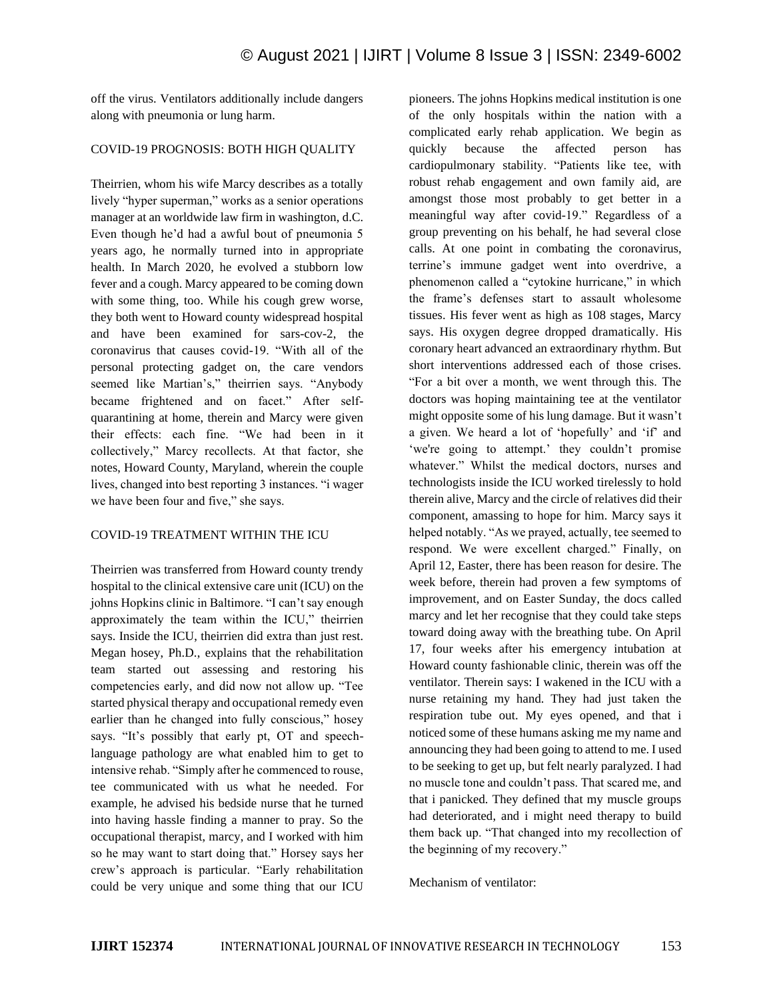off the virus. Ventilators additionally include dangers along with pneumonia or lung harm.

# COVID-19 PROGNOSIS: BOTH HIGH QUALITY

Theirrien, whom his wife Marcy describes as a totally lively "hyper superman," works as a senior operations manager at an worldwide law firm in washington, d.C. Even though he'd had a awful bout of pneumonia 5 years ago, he normally turned into in appropriate health. In March 2020, he evolved a stubborn low fever and a cough. Marcy appeared to be coming down with some thing, too. While his cough grew worse, they both went to Howard county widespread hospital and have been examined for sars-cov-2, the coronavirus that causes covid-19. "With all of the personal protecting gadget on, the care vendors seemed like Martian's," theirrien says. "Anybody became frightened and on facet." After selfquarantining at home, therein and Marcy were given their effects: each fine. "We had been in it collectively," Marcy recollects. At that factor, she notes, Howard County, Maryland, wherein the couple lives, changed into best reporting 3 instances. "i wager we have been four and five," she says.

# COVID-19 TREATMENT WITHIN THE ICU

Theirrien was transferred from Howard county trendy hospital to the clinical extensive care unit (ICU) on the johns Hopkins clinic in Baltimore. "I can't say enough approximately the team within the ICU," theirrien says. Inside the ICU, theirrien did extra than just rest. Megan hosey, Ph.D., explains that the rehabilitation team started out assessing and restoring his competencies early, and did now not allow up. "Tee started physical therapy and occupational remedy even earlier than he changed into fully conscious," hosey says. "It's possibly that early pt, OT and speechlanguage pathology are what enabled him to get to intensive rehab. "Simply after he commenced to rouse, tee communicated with us what he needed. For example, he advised his bedside nurse that he turned into having hassle finding a manner to pray. So the occupational therapist, marcy, and I worked with him so he may want to start doing that." Horsey says her crew's approach is particular. "Early rehabilitation could be very unique and some thing that our ICU pioneers. The johns Hopkins medical institution is one of the only hospitals within the nation with a complicated early rehab application. We begin as quickly because the affected person has cardiopulmonary stability. "Patients like tee, with robust rehab engagement and own family aid, are amongst those most probably to get better in a meaningful way after covid-19." Regardless of a group preventing on his behalf, he had several close calls. At one point in combating the coronavirus, terrine's immune gadget went into overdrive, a phenomenon called a "cytokine hurricane," in which the frame's defenses start to assault wholesome tissues. His fever went as high as 108 stages, Marcy says. His oxygen degree dropped dramatically. His coronary heart advanced an extraordinary rhythm. But short interventions addressed each of those crises. "For a bit over a month, we went through this. The doctors was hoping maintaining tee at the ventilator might opposite some of his lung damage. But it wasn't a given. We heard a lot of 'hopefully' and 'if' and 'we're going to attempt.' they couldn't promise whatever." Whilst the medical doctors, nurses and technologists inside the ICU worked tirelessly to hold therein alive, Marcy and the circle of relatives did their component, amassing to hope for him. Marcy says it helped notably. "As we prayed, actually, tee seemed to respond. We were excellent charged." Finally, on April 12, Easter, there has been reason for desire. The week before, therein had proven a few symptoms of improvement, and on Easter Sunday, the docs called marcy and let her recognise that they could take steps toward doing away with the breathing tube. On April 17, four weeks after his emergency intubation at Howard county fashionable clinic, therein was off the ventilator. Therein says: I wakened in the ICU with a nurse retaining my hand. They had just taken the respiration tube out. My eyes opened, and that i noticed some of these humans asking me my name and announcing they had been going to attend to me. I used to be seeking to get up, but felt nearly paralyzed. I had no muscle tone and couldn't pass. That scared me, and that i panicked. They defined that my muscle groups had deteriorated, and i might need therapy to build them back up. "That changed into my recollection of the beginning of my recovery."

Mechanism of ventilator: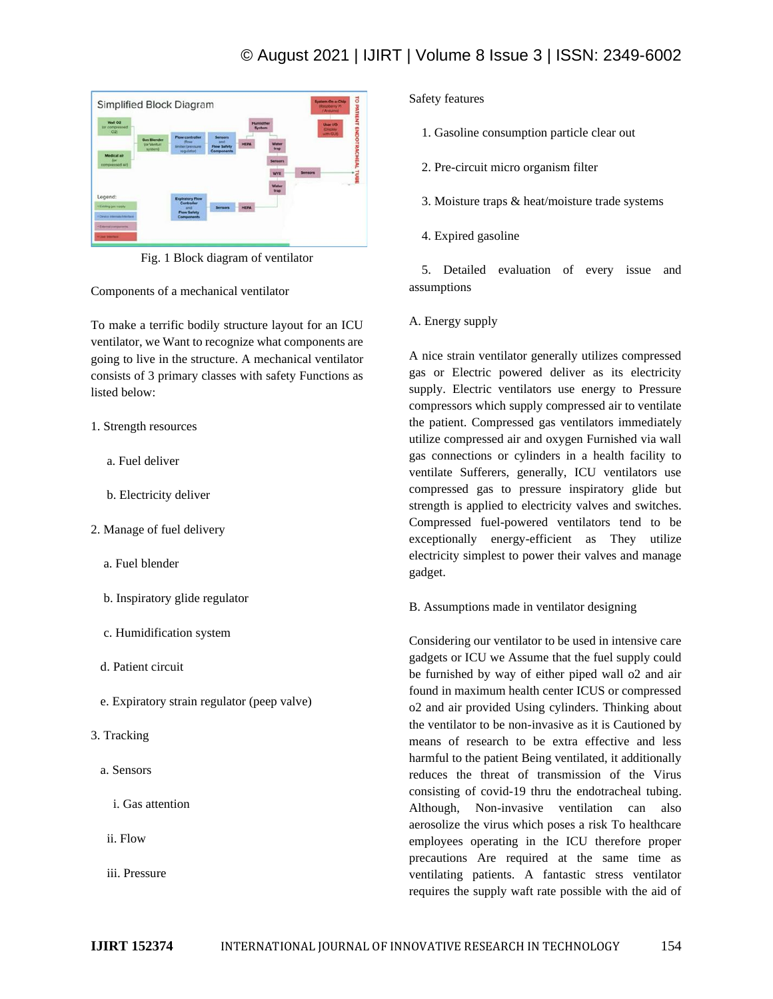

Fig. 1 Block diagram of ventilator

Components of a mechanical ventilator

To make a terrific bodily structure layout for an ICU ventilator, we Want to recognize what components are going to live in the structure. A mechanical ventilator consists of 3 primary classes with safety Functions as listed below:

# 1. Strength resources

- a. Fuel deliver
- b. Electricity deliver
- 2. Manage of fuel delivery
	- a. Fuel blender
	- b. Inspiratory glide regulator
	- c. Humidification system
	- d. Patient circuit
	- e. Expiratory strain regulator (peep valve)
- 3. Tracking
	- a. Sensors
		- i. Gas attention
	- ii. Flow
	- iii. Pressure

Safety features

1. Gasoline consumption particle clear out

2. Pre-circuit micro organism filter

3. Moisture traps & heat/moisture trade systems

4. Expired gasoline

 5. Detailed evaluation of every issue and assumptions

# A. Energy supply

A nice strain ventilator generally utilizes compressed gas or Electric powered deliver as its electricity supply. Electric ventilators use energy to Pressure compressors which supply compressed air to ventilate the patient. Compressed gas ventilators immediately utilize compressed air and oxygen Furnished via wall gas connections or cylinders in a health facility to ventilate Sufferers, generally, ICU ventilators use compressed gas to pressure inspiratory glide but strength is applied to electricity valves and switches. Compressed fuel-powered ventilators tend to be exceptionally energy-efficient as They utilize electricity simplest to power their valves and manage gadget.

B. Assumptions made in ventilator designing

Considering our ventilator to be used in intensive care gadgets or ICU we Assume that the fuel supply could be furnished by way of either piped wall o2 and air found in maximum health center ICUS or compressed o2 and air provided Using cylinders. Thinking about the ventilator to be non-invasive as it is Cautioned by means of research to be extra effective and less harmful to the patient Being ventilated, it additionally reduces the threat of transmission of the Virus consisting of covid-19 thru the endotracheal tubing. Although, Non-invasive ventilation can also aerosolize the virus which poses a risk To healthcare employees operating in the ICU therefore proper precautions Are required at the same time as ventilating patients. A fantastic stress ventilator requires the supply waft rate possible with the aid of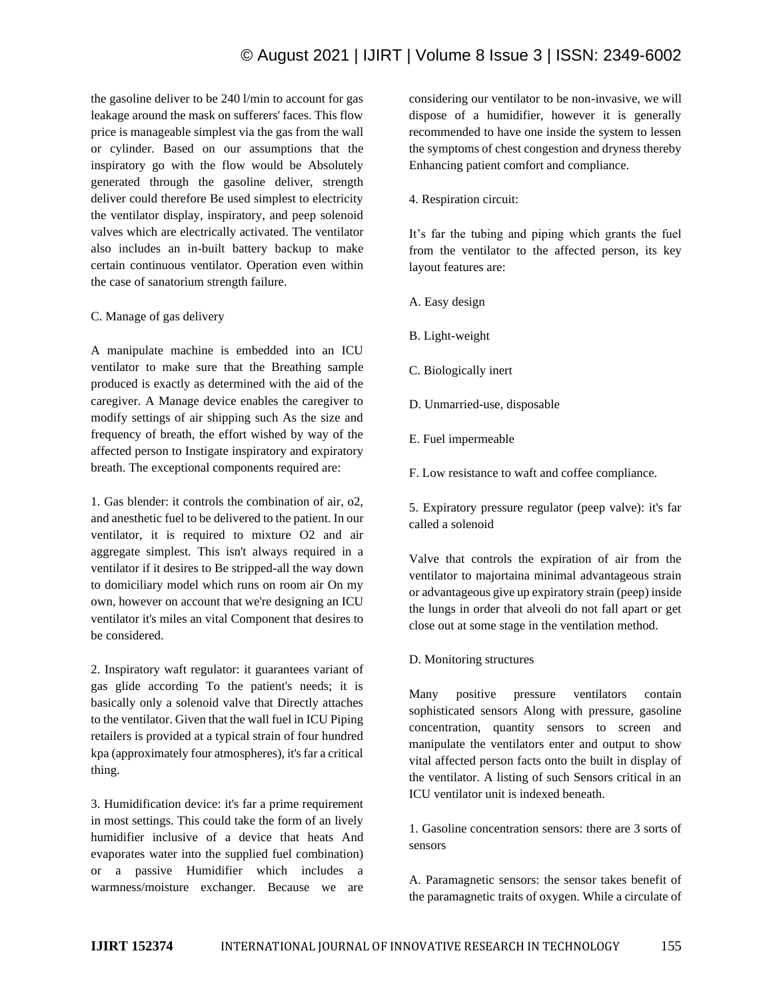the gasoline deliver to be 240 l/min to account for gas leakage around the mask on sufferers' faces. This flow price is manageable simplest via the gas from the wall or cylinder. Based on our assumptions that the inspiratory go with the flow would be Absolutely generated through the gasoline deliver, strength deliver could therefore Be used simplest to electricity the ventilator display, inspiratory, and peep solenoid valves which are electrically activated. The ventilator also includes an in-built battery backup to make certain continuous ventilator. Operation even within the case of sanatorium strength failure.

# C. Manage of gas delivery

A manipulate machine is embedded into an ICU ventilator to make sure that the Breathing sample produced is exactly as determined with the aid of the caregiver. A Manage device enables the caregiver to modify settings of air shipping such As the size and frequency of breath, the effort wished by way of the affected person to Instigate inspiratory and expiratory breath. The exceptional components required are:

1. Gas blender: it controls the combination of air, o2, and anesthetic fuel to be delivered to the patient. In our ventilator, it is required to mixture O2 and air aggregate simplest. This isn't always required in a ventilator if it desires to Be stripped-all the way down to domiciliary model which runs on room air On my own, however on account that we're designing an ICU ventilator it's miles an vital Component that desires to be considered.

2. Inspiratory waft regulator: it guarantees variant of gas glide according To the patient's needs; it is basically only a solenoid valve that Directly attaches to the ventilator. Given that the wall fuel in ICU Piping retailers is provided at a typical strain of four hundred kpa (approximately four atmospheres), it's far a critical thing.

3. Humidification device: it's far a prime requirement in most settings. This could take the form of an lively humidifier inclusive of a device that heats And evaporates water into the supplied fuel combination) or a passive Humidifier which includes a warmness/moisture exchanger. Because we are considering our ventilator to be non-invasive, we will dispose of a humidifier, however it is generally recommended to have one inside the system to lessen the symptoms of chest congestion and dryness thereby Enhancing patient comfort and compliance.

4. Respiration circuit:

It's far the tubing and piping which grants the fuel from the ventilator to the affected person, its key layout features are:

- A. Easy design
- B. Light-weight
- C. Biologically inert
- D. Unmarried-use, disposable
- E. Fuel impermeable
- F. Low resistance to waft and coffee compliance.

5. Expiratory pressure regulator (peep valve): it's far called a solenoid

Valve that controls the expiration of air from the ventilator to majortaina minimal advantageous strain or advantageous give up expiratory strain (peep) inside the lungs in order that alveoli do not fall apart or get close out at some stage in the ventilation method.

D. Monitoring structures

Many positive pressure ventilators contain sophisticated sensors Along with pressure, gasoline concentration, quantity sensors to screen and manipulate the ventilators enter and output to show vital affected person facts onto the built in display of the ventilator. A listing of such Sensors critical in an ICU ventilator unit is indexed beneath.

1. Gasoline concentration sensors: there are 3 sorts of sensors

A. Paramagnetic sensors: the sensor takes benefit of the paramagnetic traits of oxygen. While a circulate of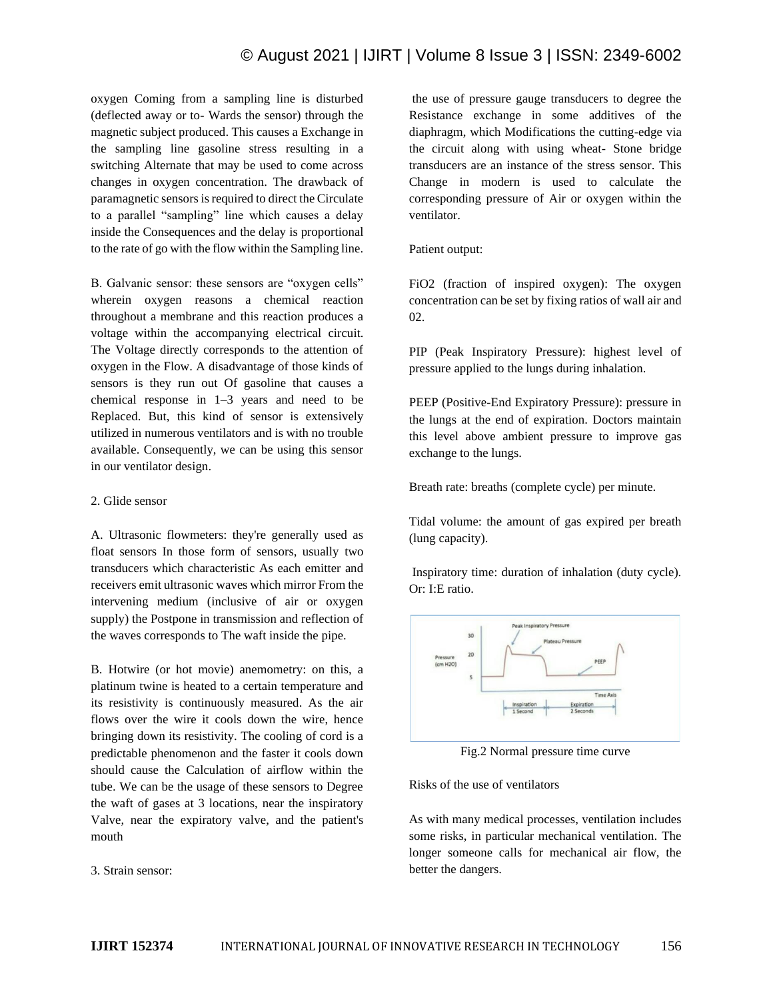# © August 2021 | IJIRT | Volume 8 Issue 3 | ISSN: 2349-6002

oxygen Coming from a sampling line is disturbed (deflected away or to- Wards the sensor) through the magnetic subject produced. This causes a Exchange in the sampling line gasoline stress resulting in a switching Alternate that may be used to come across changes in oxygen concentration. The drawback of paramagnetic sensors is required to direct the Circulate to a parallel "sampling" line which causes a delay inside the Consequences and the delay is proportional to the rate of go with the flow within the Sampling line.

B. Galvanic sensor: these sensors are "oxygen cells" wherein oxygen reasons a chemical reaction throughout a membrane and this reaction produces a voltage within the accompanying electrical circuit. The Voltage directly corresponds to the attention of oxygen in the Flow. A disadvantage of those kinds of sensors is they run out Of gasoline that causes a chemical response in 1–3 years and need to be Replaced. But, this kind of sensor is extensively utilized in numerous ventilators and is with no trouble available. Consequently, we can be using this sensor in our ventilator design.

#### 2. Glide sensor

A. Ultrasonic flowmeters: they're generally used as float sensors In those form of sensors, usually two transducers which characteristic As each emitter and receivers emit ultrasonic waves which mirror From the intervening medium (inclusive of air or oxygen supply) the Postpone in transmission and reflection of the waves corresponds to The waft inside the pipe.

B. Hotwire (or hot movie) anemometry: on this, a platinum twine is heated to a certain temperature and its resistivity is continuously measured. As the air flows over the wire it cools down the wire, hence bringing down its resistivity. The cooling of cord is a predictable phenomenon and the faster it cools down should cause the Calculation of airflow within the tube. We can be the usage of these sensors to Degree the waft of gases at 3 locations, near the inspiratory Valve, near the expiratory valve, and the patient's mouth

3. Strain sensor:

the use of pressure gauge transducers to degree the Resistance exchange in some additives of the diaphragm, which Modifications the cutting-edge via the circuit along with using wheat- Stone bridge transducers are an instance of the stress sensor. This Change in modern is used to calculate the corresponding pressure of Air or oxygen within the ventilator.

### Patient output:

FiO2 (fraction of inspired oxygen): The oxygen concentration can be set by fixing ratios of wall air and 02.

PIP (Peak Inspiratory Pressure): highest level of pressure applied to the lungs during inhalation.

PEEP (Positive-End Expiratory Pressure): pressure in the lungs at the end of expiration. Doctors maintain this level above ambient pressure to improve gas exchange to the lungs.

Breath rate: breaths (complete cycle) per minute.

Tidal volume: the amount of gas expired per breath (lung capacity).

Inspiratory time: duration of inhalation (duty cycle). Or: I:E ratio.



Fig.2 Normal pressure time curve

# Risks of the use of ventilators

As with many medical processes, ventilation includes some risks, in particular mechanical ventilation. The longer someone calls for mechanical air flow, the better the dangers.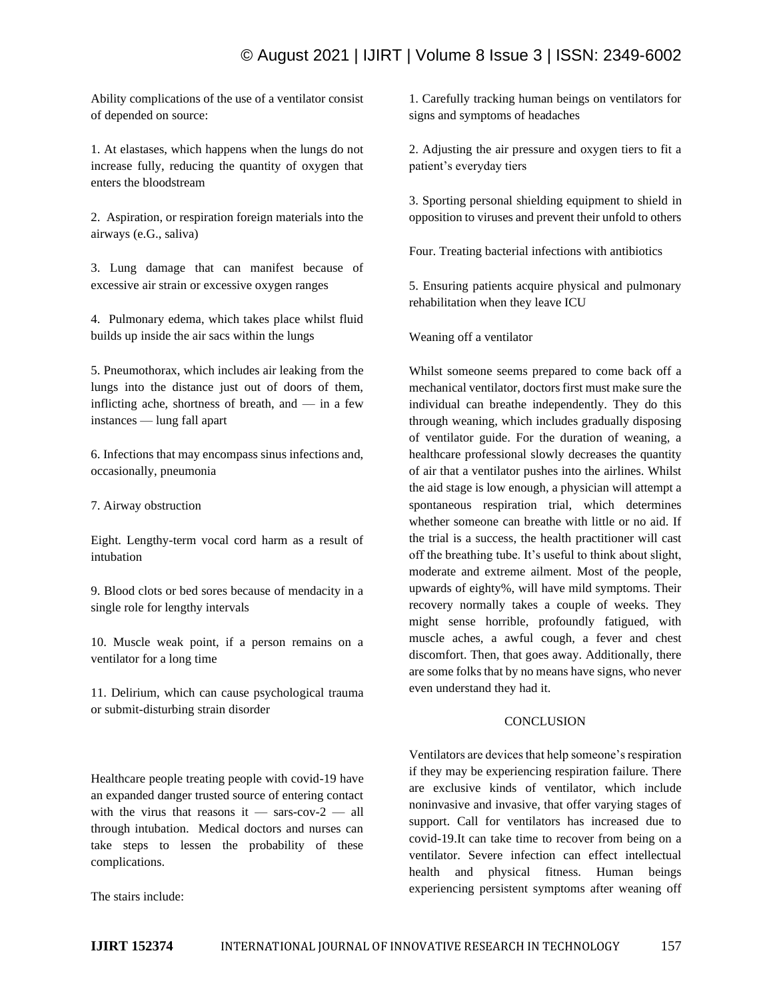# © August 2021 | IJIRT | Volume 8 Issue 3 | ISSN: 2349-6002

Ability complications of the use of a ventilator consist of depended on source:

1. At elastases, which happens when the lungs do not increase fully, reducing the quantity of oxygen that enters the bloodstream

2. Aspiration, or respiration foreign materials into the airways (e.G., saliva)

3. Lung damage that can manifest because of excessive air strain or excessive oxygen ranges

4. Pulmonary edema, which takes place whilst fluid builds up inside the air sacs within the lungs

5. Pneumothorax, which includes air leaking from the lungs into the distance just out of doors of them, inflicting ache, shortness of breath, and — in a few instances — lung fall apart

6. Infections that may encompass sinus infections and, occasionally, pneumonia

7. Airway obstruction

Eight. Lengthy-term vocal cord harm as a result of intubation

9. Blood clots or bed sores because of mendacity in a single role for lengthy intervals

10. Muscle weak point, if a person remains on a ventilator for a long time

11. Delirium, which can cause psychological trauma or submit-disturbing strain disorder

Healthcare people treating people with covid-19 have an expanded danger trusted source of entering contact with the virus that reasons it — sars-cov- $2$  — all through intubation. Medical doctors and nurses can take steps to lessen the probability of these complications.

The stairs include:

1. Carefully tracking human beings on ventilators for signs and symptoms of headaches

2. Adjusting the air pressure and oxygen tiers to fit a patient's everyday tiers

3. Sporting personal shielding equipment to shield in opposition to viruses and prevent their unfold to others

Four. Treating bacterial infections with antibiotics

5. Ensuring patients acquire physical and pulmonary rehabilitation when they leave ICU

Weaning off a ventilator

Whilst someone seems prepared to come back off a mechanical ventilator, doctors first must make sure the individual can breathe independently. They do this through weaning, which includes gradually disposing of ventilator guide. For the duration of weaning, a healthcare professional slowly decreases the quantity of air that a ventilator pushes into the airlines. Whilst the aid stage is low enough, a physician will attempt a spontaneous respiration trial, which determines whether someone can breathe with little or no aid. If the trial is a success, the health practitioner will cast off the breathing tube. It's useful to think about slight, moderate and extreme ailment. Most of the people, upwards of eighty%, will have mild symptoms. Their recovery normally takes a couple of weeks. They might sense horrible, profoundly fatigued, with muscle aches, a awful cough, a fever and chest discomfort. Then, that goes away. Additionally, there are some folks that by no means have signs, who never even understand they had it.

# **CONCLUSION**

Ventilators are devices that help someone's respiration if they may be experiencing respiration failure. There are exclusive kinds of ventilator, which include noninvasive and invasive, that offer varying stages of support. Call for ventilators has increased due to covid-19.It can take time to recover from being on a ventilator. Severe infection can effect intellectual health and physical fitness. Human beings experiencing persistent symptoms after weaning off